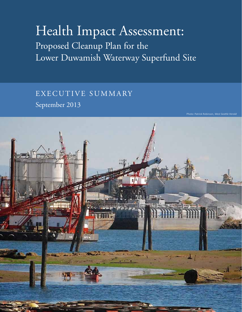# Health Impact Assessment: Proposed Cleanup Plan for the Lower Duwamish Waterway Superfund Site

EXECUTIVE SUMMARY September 2013

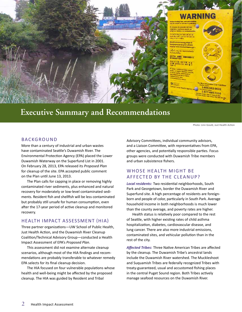

## **Executive Summary and Recommendations**

Photo: Linn Gould, Just Health Action

## BACKGROUND

More than a century of industrial and urban wastes have contaminated Seattle's Duwamish River. The Environmental Protection Agency (EPA) placed the Lower Duwamish Waterway on the Superfund List in 2001. On February 28, 2013, EPA released its *Proposed Plan* for cleanup of the site. EPA accepted public comment on the Plan until June 13, 2013.

The Plan calls for capping in place or removing highly contaminated river sediments, plus enhanced and natural recovery for moderately or low-level contaminated sediments. Resident fish and shellfish will be less contaminated but probably still unsafe for human consumption, even after the 17-year period of active cleanup and monitored recovery.

## health impact Assessment (HIA)

Three partner organizations—UW School of Public Health, Just Health Action, and the Duwamish River Cleanup Coalition/Technical Advisory Group—conducted a Health Impact Assessment of EPA's *Proposed Plan*.

This assessment did not examine alternate cleanup scenarios, although most of the HIA findings and recommendations are probably transferable to whatever remedy EPA selects for its final cleanup decision.

The HIA focused on four vulnerable populations whose health and well-being might be affected by the proposed cleanup. The HIA was guided by Resident and Tribal

Advisory Committees, individual community advisors, and a Liaison Committee, with representatives from EPA, other agencies, and potentially responsible parties. Focus groups were conducted with Duwamish Tribe members and urban subsistence fishers.

## whose health might be affected by the cleanup?

*Local residents:* Two residential neighborhoods, South Park and Georgetown, border the Duwamish River and Superfund site. A high percentage of residents are foreignborn and people of color, particularly in South Park. Average household income in both neighborhoods is much lower than the county average, and poverty rates are higher.

Health status is relatively poor compared to the rest of Seattle, with higher existing rates of child asthma hospitalization, diabetes, cardiovascular disease, and lung cancer. There are also more industrial emissions, contaminated sites, and vehicular pollution than in the rest of the city.

*Affected Tribes:* Three Native American Tribes are affected by the cleanup. The Duwamish Tribe's ancestral lands include the Duwamish River watershed. The Muckleshoot and Suquamish Tribes are federally recognized Tribes with treaty-guaranteed, usual and accustomed fishing places in the central Puget Sound region. Both Tribes actively manage seafood resources on the Duwamish River.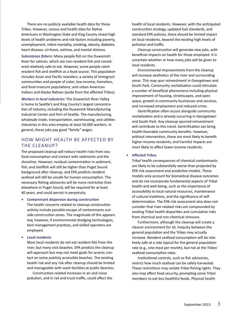There are no publicly available health data for these Tribes. However, census and health data for Native Americans in Washington State and King County reveal high levels of health problems and risk factors including poverty, unemployment, infant mortality, smoking, obesity, diabetes, heart disease, cirrhosis, asthma, and mental distress.

*Subsistence fishers:* Many people fish on the Duwamish River for salmon, which are non-resident fish and considered relatively safe to eat. However, some people catch resident fish and shellfish as a food source. This population includes Asian and Pacific Islanders; a variety of immigrant communities and people of color; low-income, homeless, and food-insecure populations; and urban American Indians and Alaska Natives (aside from the affected Tribes).

*Workers in local industries:* The Duwamish River Valley is home to Seattle's and King County's largest concentration of industry, including the Duwamish Manufacturing Industrial Center and Port of Seattle. The manufacturing, wholesale trade, transportation, warehousing, and utilities industries in this area employ at least 50,000 workers. In general, these jobs pay good "family" wages.

## how might health be affected by the cleanup?

The proposed cleanup will reduce health risks from seafood consumption and contact with sediments and the shoreline. However, residual contamination in sediment, fish, and shellfish will still be higher than Puget Sound background after cleanup, and EPA predicts resident seafood will still be unsafe for human consumption. The necessary fishing advisories will be more restrictive than elsewhere in Puget Sound, will be required for at least 40 years, and could persist in perpetuity.

**• Contaminant dispersion during construction**

The health concerns related to cleanup construction activity include possible escape of contaminants outside construction zones. The magnitude of this appears low, however, if environmental dredging technologies, best management practices, and skilled operators are employed.

**Local residents** 

Most local residents do not eat resident fish from the river, but many visit beaches. EPA predicts the cleanup will approach but may not meet goals for arsenic contact on some publicly accessible beaches. The existing health risk and any risk after cleanup should be limited and manageable with wash facilities at public beaches.

Construction-related increases in air and noise pollution, and in rail and truck traffic, could affect the health of local residents. However, with the anticipated construction strategy, updated fuel standards, and standard EPA policies, there should be limited impact on local residents, beyond the existing high levels of pollution and traffic.

Cleanup construction will generate new jobs, with beneficial impacts on health for those employed. It is uncertain whether or how many jobs will be given to local residents.

Environmental improvements from the cleanup will increase aesthetics of the river and surrounding areas. This may spur reinvestment in Georgetown and South Park. Community revitalization could stimulate a number of beneficial phenomena including physical improvement of housing, streetscapes, and open space, growth in community businesses and services, and increased employment and reduced crime.

Gentrification often occurs alongside community revitalization and is already occurring in Georgetown and South Park. Any cleanup-spurred reinvestment will contribute to this trend. Gentrification can bring health-favorable community benefits. However, without intervention, these are most likely to benefit higher-income residents, and harmful impacts are most likely to affect lower-income residents.

#### **• Affected Tribes**

Tribal health consequences of chemical contaminants are likely to be substantially worse than projected by EPA risk assessment and predictive models. These models only account for biomedical disease outcomes and do not incorporate fundamental aspects of Tribal health and well-being, such as the importance of accessibility to local natural resources, maintenance of cultural traditions, and the significance of selfdetermination. The EPA risk assessment also does not consider that river-related risks are compounded by existing Tribal health disparities and cumulative risks from chemical and non-chemical stressors.

Furthermore, although the cleanup will create a cleaner environment for all, inequity between the general population and the Tribes may actually increase. Resident seafood consumption will be relatively safe at a rate typical for the general population rate (e.g., one meal per month), but not at the Tribes' seafood consumption rates.

Institutional controls, such as fish advisories, restrict how much seafood can be safely harvested. These restrictions may violate Tribal fishing rights. They also may affect food security, prompting some Tribal members to eat less healthful foods. Physical health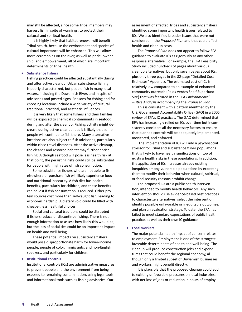may still be affected, since some Tribal members may harvest fish in spite of warnings, to protect their cultural and spiritual health.

It is highly likely that habitat renewal will benefit Tribal health, because the environment and species of cultural importance will be enhanced. This will allow more ceremonies on the river, as well as pride, ownership, and empowerment, all of which are important determinants of Tribal health.

#### **Subsistence fishers**

Fishing practices could be affected substantially during and after active cleanup. Urban subsistence fishing is poorly characterized, but people fish in many local waters, including the Duwamish River, and in spite of advisories and posted signs. Reasons for fishing and for choosing locations include a wide variety of cultural, traditional, practical, and aesthetic influences.

It is very likely that some fishers and their families will be exposed to chemical contaminants in seafood during and after the cleanup. Fishing activity might decrease during active cleanup, but it is likely that some people will continue to fish there. Many alternative locations are also subject to fish advisories, particularly within close travel distances. After the active cleanup, the cleaner and restored habitat may further entice fishing. Although seafood will pose less health risk at that point, the persisting risks could still be substantial for people with high rates of fish consumption.

Some subsistence fishers who are not able to fish elsewhere or purchase fish will likely experience food and nutritional insecurity. A fish diet has health benefits, particularly for children, and these benefits can be lost if fish consumption is reduced. Other protein sources cost more than self-caught fish, leading to economic hardship. A dietary void could be filled with cheaper, less healthful choices.

Social and cultural traditions could be disrupted if fishers reduce or discontinue fishing. There is not enough information to assess how likely this would be, but the loss of social ties could be an important impact on health and well-being.

These potential impacts on subsistence fishers would pose disproportionate harm for lower-income people, people of color, immigrants, and non-English speakers, and particularly for children.

#### **Institutional controls**

Institutional controls (ICs) are administrative measures to prevent people and the environment from being exposed to remaining contamination, using legal tools and informational tools such as fishing advisories. Our

assessment of affected Tribes and subsistence fishers identified some important health issues related to ICs. We also identified broader issues that were not considered in the *Proposed Plan* and that could affect health and cleanup costs.

The *Proposed Plan* does not appear to follow EPA guidance to evaluate ICs as rigorously as any other response alternative. For example, the EPA Feasibility Study included hundreds of pages about various cleanup alternatives, but only seven pages about ICs, plus only three pages in the 82-page "Detailed Cost Estimates" Appendix. The estimated cost of ICs is relatively low compared to an example of enhanced community outreach (Palos Verdes Shelf Superfund Site) that was featured in the EPA *Environmental Justice Analysis* accompanying the *Proposed Plan*.

This is consistent with a pattern identified by the U.S. Government Accountability Office (GAO) in a 2005 review of EPA's IC practices. The GAO determined that EPA has increasingly relied on ICs over time but inconsistently considers all the necessary factors to ensure that planned controls will be adequately implemented, monitored, and enforced.

 The implementation of ICs will add a psychosocial stressor for Tribal and subsistence fisher populations that is likely to have health ramifications on top of existing health risks in these populations. In addition, the application of ICs increases already existing inequities among vulnerable populations by expecting them to modify their behavior when cultural, spiritual, or food security reasons prohibit change.

The proposed ICs are a public health intervention, intended to modify health behaviors. Any such intervention should use evidence-based best practices to characterize alternatives, select the intervention, identify possible unfavorable or inequitable outcomes, and plan an evaluation strategy. To date, the EPA has failed to meet standard expectations of public health practice, as well as their own IC guidance.

#### **Local workers**

The major potential health impact of concern relates to employment. Employment is one of the strongest favorable determinants of health and well-being. The cleanup will produce construction jobs and expenditures that could benefit the regional economy, although only a limited subset of Duwamish businesses and workers might benefit directly.

It is plausible that the proposed cleanup could add to existing unfavorable pressures on local industries, with net loss of jobs or reduction in hours of employ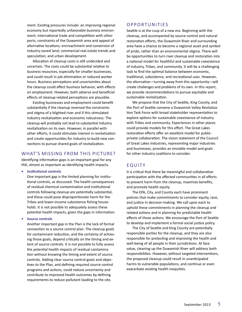ment. Existing pressures include: an improving regional economy but reportedly unfavorable business environment; international trade and competition with other ports; constraints of the Duwamish area and appeal of alternative locations; encroachment and conversion of industry-zoned land; commercial real estate trends and speculation; and urban development.

Allocation of cleanup costs is still undecided and uncertain. The costs could be substantial relative to business resources, especially for smaller businesses, and could result in job elimination or reduced worker hours. Business perceptions and uncertainties about the cleanup could affect business behavior, with effects on employment. However, both adverse and beneficial effects of cleanup-related perceptions are plausible.

Existing businesses and employment could benefit substantially if the cleanup reversed the constraints and stigma of a blighted river and if this stimulated industry revitalization and economic robustness. The cleanup will probably not lead to substantial industry revitalization on its own. However, in parallel with other efforts, it could stimulate interest in revitalization and create opportunities for industry to build new connections to pursue shared goals of revitalization.

## WHAT'S MISSING FROM THIS PICTURE?

Identifying information gaps is an important goal for any HIA, almost as important as identifying health impacts.

**• Institutional controls**

One important gap is the limited planning for institutional controls, as discussed. The health consequences of residual chemical contamination and institutional controls following cleanup are potentially substantial, and these could pose disproportionate harm for the Tribes and lower-income subsistence fishing households. It is not possible to adequately assess these potential health impacts, given the gaps in information.

#### **• Source controls**

Another important gap in the Plan is the lack of formal connection to a source control plan. The cleanup goals for contaminant reduction, and the certainty of achieving those goals, depend critically on the timing and extent of source controls. It is not possible to fully assess the potential health impacts of residual contamination without knowing the timing and extent of source controls. Adding clear source control goals and objectives to the Plan, and defining required source control programs and actions, could reduce uncertainty and contribute to improved health outcomes by defining requirements to reduce pollutant loading to the site.

#### **OPPORTUNITIES**

Seattle is at the cusp of a new era. Beginning with the cleanup, and accompanied by source control and natural restoration efforts, the Duwamish River and surrounding area have a chance to become a regional asset and symbol of pride, rather than an environmental stigma. There will be opportunities to turn river cleanup and restoration into a national model for healthful and sustainable coexistence of industry, Tribes, and community. It will be a challenging task to find the optimal balance between economic, traditional, subsistence, and recreational uses. However, the alternative—turning away from this opportunity—will create challenges and problems of its own. In this report, we provide recommendations to pursue equitable and sustainable revitalization.

We propose that the City of Seattle, King County, and the Port of Seattle convene a Duwamish Valley Revitalization Task Force with broad stakeholder representation to explore options for sustainable coexistence of industry with Tribes and community. Experiences in other places could provide models for this effort. The Great Lakes restoration efforts offer an excellent model for publicprivate collaboration. The vision statement of the Council of Great Lakes Industries, representing major industries and businesses, provides an enviable model and goals for other industry coalitions to consider.

## **EQUITY**

It is critical that there be meaningful and collaborative participation with the affected communities in all efforts to prevent harm from the cleanup, maximize benefits, and promote health equity.

The EPA, City, and County each have prominent policies that make commitments to consider equity, race, and justice in decision-making. We call upon each to uphold these commitments in planning the cleanup and related actions and in planning for predictable health effects of those actions. We encourage the Port of Seattle to develop and implement a formal social justice policy.

The City of Seattle and King County are potentially responsible parties for the cleanup, and they are also responsible for protecting and improving the health and well-being of all people in their jurisdictions. At face value, cleaning up the Duwamish River will address both responsibilities. However, without targeted interventions, the proposed cleanup could result in unanticipated harms to vulnerable populations, and continue or even exacerbate existing health inequities.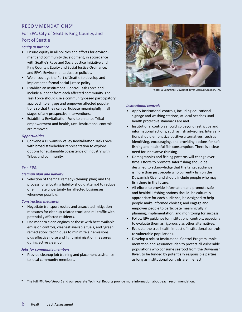## recommendations\*

## For EPA, City of Seattle, King County, and Port of Seattle

#### *Equity assurance*

- Ensure equity in all policies and efforts for environment and community development, in accordance with Seattle's Race and Social Justice Initiative and King County's Equity and Social Justice Ordinance, and EPA's Environmental Justice policies.
- We encourage the Port of Seattle to develop and implement a formal social justice policy.
- Establish an Institutional Control Task Force and include a leader from each affected community. The Task Force should use a community-based participatory approach to engage and empower affected populations so that they can participate meaningfully in all stages of any prospective interventions.
- Establish a Revitalization Fund to enhance Tribal empowerment and health, until institutional controls are removed.

#### *Opportunities*

• Convene a Duwamish Valley Revitalization Task Force with broad stakeholder representation to explore options for sustainable coexistence of industry with Tribes and community.

#### For EPA

#### *Cleanup plan and liability*

• Selection of the final remedy (cleanup plan) and the process for allocating liability should attempt to reduce or eliminate uncertainty for affected businesses, whenever possible.

#### *Construction measures*

- Negotiate transport routes and associated mitigation measures for cleanup-related truck and rail traffic with potentially affected residents.
- Use modern clean engines or those with best available emission controls, cleanest available fuels, and "green remediation" techniques to minimize air emissions, plus effective noise and light minimization measures during active cleanup.

#### *Jobs for community members*

• Provide cleanup job training and placement assistance to local community members.



#### *Institutional controls*

- Apply institutional controls, including educational signage and washing stations, at local beaches until health protective standards are met.
- Institutional controls should go beyond restrictive and informational actions, such as fish advisories. Interventions should emphasize positive alternatives, such as identifying, encouraging, and providing options for safe fishing and healthful fish consumption. There is a clear need for innovative thinking. From the charge from each frem the charge is the comment beams a leader from each and the state of the proposition of the proposition of the charge and engine and engine and the charge and the state from each frem the cha
	- Demographics and fishing patterns will change over time. Efforts to promote safer fishing should be designed to acknowledge that the target audience is more than just people who currently fish on the Duwamish River and should include people who may fish there in the future.
	- All efforts to provide information and promote safe and healthful fishing options should: be culturally appropriate for each audience; be designed to help people make informed choices; and engage and empower people to participate meaningfully in planning, implementation, and monitoring for success.
	- Follow EPA guidance for institutional controls, especially to evaluate them as rigorously as other alternatives.
	- Evaluate the true health impact of institutional controls to vulnerable populations.
	- Develop a robust Institutional Control Program Implementation and Assurance Plan to protect all vulnerable populations who consume seafood from the Duwamish River, to be funded by potentially responsible parties as long as institutional controls are in effect.

\* The full *HIA Final Report* and our separate Technical Reports provide more information about each recommendation.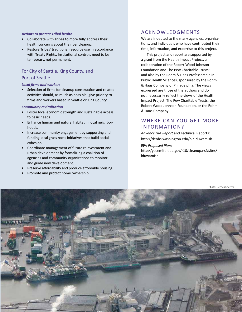#### *Actions to protect Tribal health*

- Collaborate with Tribes to more fully address their health concerns about the river cleanup.
- Restore Tribes' traditional resource use in accordance with Treaty Rights. Institutional controls need to be temporary, not permanent.

## For City of Seattle, King County, and Port of Seattle

#### *Local firms and workers*

• Selection of firms for cleanup construction and related activities should, as much as possible, give priority to firms and workers based in Seattle or King County.

#### *Community revitalization*

- Foster local economic strength and sustainable access to basic needs.
- Enhance human and natural habitat in local neighborhoods.
- Increase community engagement by supporting and funding local grass roots initiatives that build social cohesion.
- Coordinate management of future reinvestment and urban development by formalizing a coalition of agencies and community organizations to monitor and guide new development.
- Preserve affordability and produce affordable housing.
- Promote and protect home ownership.

## acknowledgments

We are indebted to the many agencies, organizations, and individuals who have contributed their time, information, and expertise to this project.

This project and report are supported by a grant from the Health Impact Project, a collaboration of the Robert Wood Johnson Foundation and The Pew Charitable Trusts; and also by the Rohm & Haas Professorship in Public Health Sciences, sponsored by the Rohm & Haas Company of Philadelphia. The views expressed are those of the authors and do not necessarily reflect the views of the Health Impact Project, The Pew Charitable Trusts, the Robert Wood Johnson Foundation, or the Rohm & Haas Company.

## WHERE CAN YOU GET MORE INFORMATION?

*Advance HIA Report* and Technical Reports: http://deohs.washington.edu/hia-duwamish EPA *Proposed Plan*: http://yosemite.epa.gov/r10/cleanup.nsf/sites/ lduwamish

Photo: Derrick Coetzee